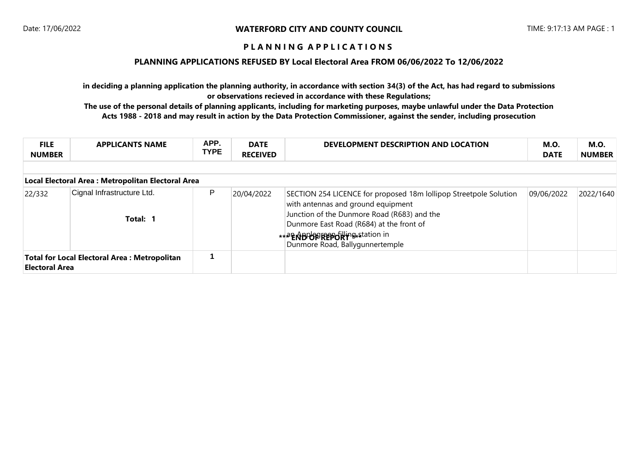## **P L A N N I N G A P P L I C A T I O N S**

## **PLANNING APPLICATIONS REFUSED BY Local Electoral Area FROM 06/06/2022 To 12/06/2022**

**in deciding a planning application the planning authority, in accordance with section 34(3) of the Act, has had regard to submissions or observations recieved in accordance with these Regulations;**

**The use of the personal details of planning applicants, including for marketing purposes, maybe unlawful under the Data Protection Acts 1988 - 2018 and may result in action by the Data Protection Commissioner, against the sender, including prosecution**

| <b>FILE</b><br><b>NUMBER</b>                                          | <b>APPLICANTS NAME</b>                 | APP.<br><b>TYPE</b> | <b>DATE</b><br><b>RECEIVED</b> | DEVELOPMENT DESCRIPTION AND LOCATION                                                                                                                                                                                                                                | <b>M.O.</b><br><b>DATE</b> | M.O.<br><b>NUMBER</b> |
|-----------------------------------------------------------------------|----------------------------------------|---------------------|--------------------------------|---------------------------------------------------------------------------------------------------------------------------------------------------------------------------------------------------------------------------------------------------------------------|----------------------------|-----------------------|
| Local Electoral Area : Metropolitan Electoral Area                    |                                        |                     |                                |                                                                                                                                                                                                                                                                     |                            |                       |
| 22/332                                                                | Cignal Infrastructure Ltd.<br>Total: 1 | P                   | 20/04/2022                     | SECTION 254 LICENCE for proposed 18m lollipop Streetpole Solution<br>with antennas and ground equipment<br>Junction of the Dunmore Road (R683) and the<br>Dunmore East Road (R684) at the front of<br>** PROPOPREPORT Station in<br>Dunmore Road, Ballygunnertemple | 09/06/2022                 | 2022/1640             |
| <b>Total for Local Electoral Area: Metropolitan</b><br>Electoral Area |                                        |                     |                                |                                                                                                                                                                                                                                                                     |                            |                       |